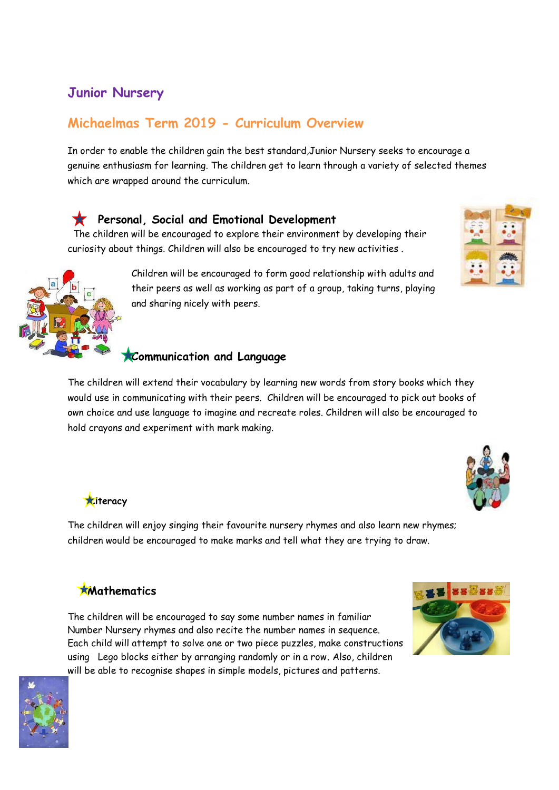## **Junior Nursery**

# **Michaelmas Term 2019 - Curriculum Overview**

In order to enable the children gain the best standard,Junior Nursery seeks to encourage a genuine enthusiasm for learning. The children get to learn through a variety of selected themes which are wrapped around the curriculum.

#### **Personal, Social and Emotional Development**

 The children will be encouraged to explore their environment by developing their curiosity about things. Children will also be encouraged to try new activities .

> Children will be encouraged to form good relationship with adults and their peers as well as working as part of a group, taking turns, playing and sharing nicely with peers.

## **Communication and Language**

The children will extend their vocabulary by learning new words from story books which they would use in communicating with their peers. Children will be encouraged to pick out books of own choice and use language to imagine and recreate roles. Children will also be encouraged to hold crayons and experiment with mark making.

**Literacy** 

The children will enjoy singing their favourite nursery rhymes and also learn new rhymes; children would be encouraged to make marks and tell what they are trying to draw.

#### **Mathematics**

The children will be encouraged to say some number names in familiar Number Nursery rhymes and also recite the number names in sequence. Each child will attempt to solve one or two piece puzzles, make constructions using Lego blocks either by arranging randomly or in a row. Also, children will be able to recognise shapes in simple models, pictures and patterns.